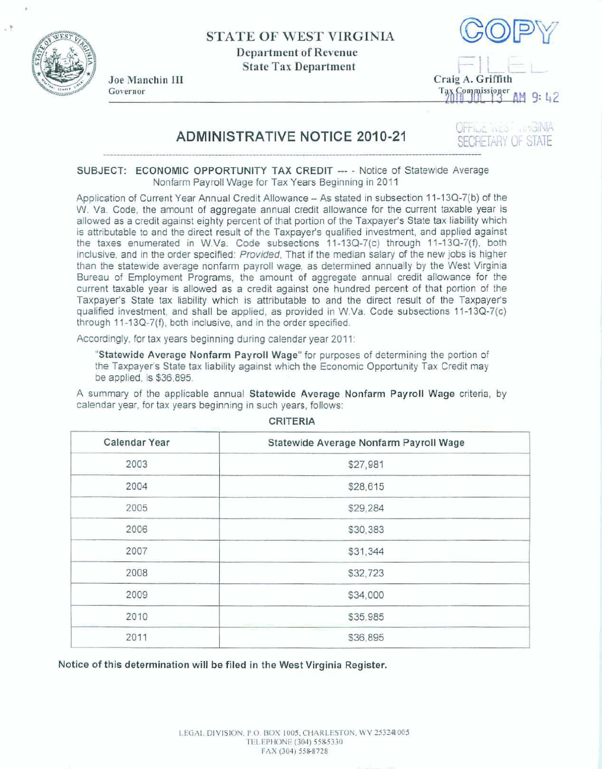

**STATE OF WEST VIRGINIA Department of Revenue**   $State Tax Department$ 





## **ADMINISTRATIVE NOTICE 2010-21**

OFFILME IN ESTIMINIA **FOULD ISSIDE" AM 9: 42<br>OFFINE MED : BONHA<br>SECRETARY OF STATE** 

**SECRETARY OF STATE**<br>SUBJECT: ECONOMIC OPPORTUNITY TAX CREDIT --- Notice of Statewide Average **Nonfarm** Payroll **Wage for Tax Years Beginning** in **2011** 

**Applimtion** of Current **Year Annual Credit Allowance** - **As stated in subsection 1** 1-1 **3Q-7(b)** of the **W. Va. Code, the** amount **of aggregate annual** credit **allowance** for **fhe current taxable** year **is allowed as a credit against** eighty percent of **that** portion **of** the **Taxpayer's State tax liability which is attributable to and the direct result of the Taxpayer's qualified investment, and applied against the taxes enumerated in W.Va. Code subsections** 1 **1 -1** 3G7(c) **through** 1 **1-1 3Q-7(f), both inclusive, and** in **the order specified: Provided, That if the median salary** of the new **jobs is higher than the statewide average nonfarm payroll wage, as determined annually by the West Virginia**  Bureau of Employment Programs, the amount of aggregate annual credit allowance for the **current taxable year is allowed as a credit against one hundred percent** of **that** poFtion of **the Taxpayer's State tax liability which is attributable** to **and the direct** result **of the Taxpayer's qualified investment, and shall be applied, as provided in W.Va. Code subsections 11-13Q-7(c) through 11-13Q-7(f), both inclusive, and in the order specified.** 

**Accordingly, for tax years beginning during calendar year 201** 1:

**"Statewide Average Nonfarm Payroll Wage"** for **purposes of determining the portion** of the **Taxpayer's State tax liability against** which **the Economic** Opportunity **Tax Credit may be applied, is \$36,895.** 

**A summary of the applicable annual Statewide Average Nonfarm Payroll Wage** criteria, **by calendar year,** for **tax years beginning in such years, follows:** 

| Calendar Year | Statewide Average Nonfarm Payroll Wage |
|---------------|----------------------------------------|
| 2003          | \$27,981                               |
| 2004          | \$28,615                               |
| 2005          | \$29,284                               |
| 2006          | \$30,383                               |
| 2007          | \$31,344                               |
| 2008          | \$32,723                               |
| 2009          | \$34,000                               |
| 2010          | \$35,985                               |
| 2011          | \$36,895                               |

**CRITERIA** 

**Notice of this** determination **will be filed In the West Virginia Register.**